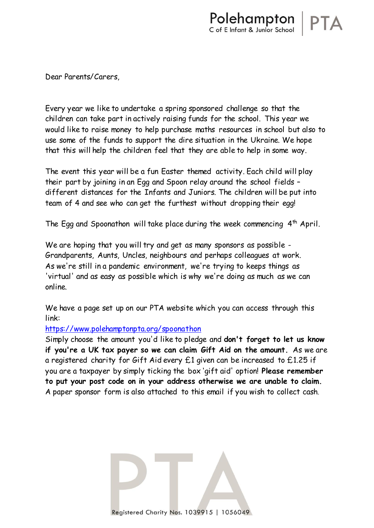Dear Parents/Carers,

Every year we like to undertake a spring sponsored challenge so that the children can take part in actively raising funds for the school. This year we would like to raise money to help purchase maths resources in school but also to use some of the funds to support the dire situation in the Ukraine. We hope that this will help the children feel that they are able to help in some way.

The event this year will be a fun Easter themed activity. Each child will play their part by joining in an Egg and Spoon relay around the school fields – different distances for the Infants and Juniors. The children will be put into team of 4 and see who can get the furthest without dropping their egg!

The Egg and Spoonathon will take place during the week commencing  $4<sup>th</sup>$  April.

We are hoping that you will try and get as many sponsors as possible -Grandparents, Aunts, Uncles, neighbours and perhaps colleagues at work. As we're still in a pandemic environment, we're trying to keeps things as 'virtual' and as easy as possible which is why we're doing as much as we can online.

We have a page set up on our PTA website which you can access through this link:

## <https://www.polehamptonpta.org/spoonathon>

Simply choose the amount you'd like to pledge and **don't forget to let us know if you're a UK tax payer so we can claim Gift Aid on the amount.** As we are a registered charity for Gift Aid every £1 given can be increased to £1.25 if you are a taxpayer by simply ticking the box 'gift aid' option! **Please remember to put your post code on in your address otherwise we are unable to claim.**  A paper sponsor form is also attached to this email if you wish to collect cash.

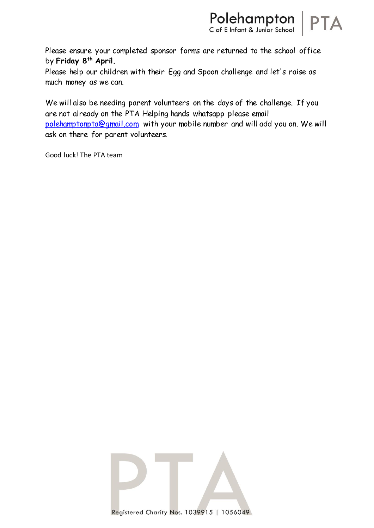

Please ensure your completed sponsor forms are returned to the school office by **Friday 8th April.**

Please help our children with their Egg and Spoon challenge and let's raise as much money as we can.

We will also be needing parent volunteers on the days of the challenge. If you are not already on the PTA Helping hands whatsapp please email [polehamptonpta@gmail.com](mailto:polehamptonpta@gmail.com) with your mobile number and will add you on. We will ask on there for parent volunteers.

Good luck! The PTA team